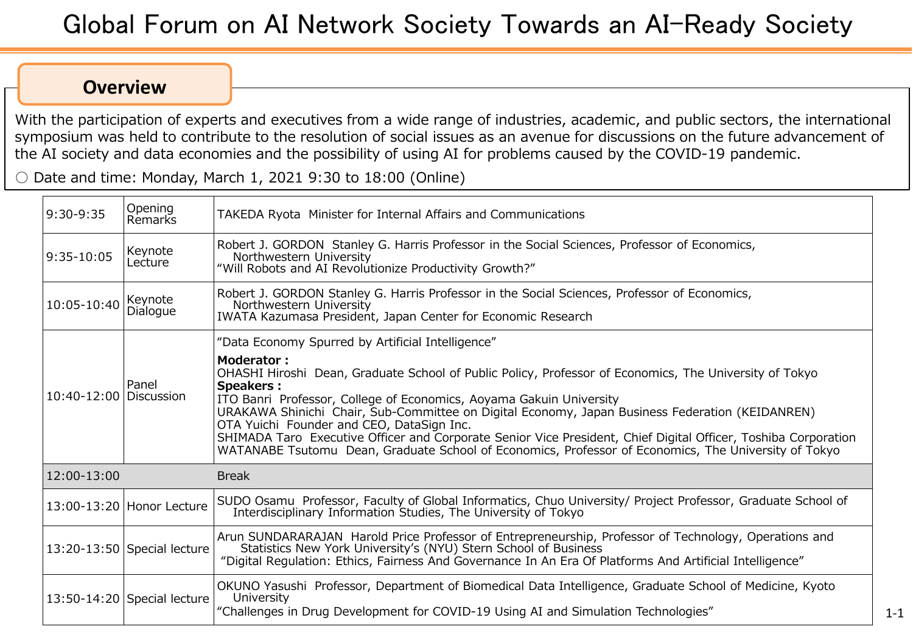## **Overview**

With the participation of experts and executives from a wide range of industries, academic, and public sectors, the international symposium was held to contribute to the resolution of social issues as an avenue for discussions on the future advancement of the AI society and data economies and the possibility of using AI for problems caused by the COVID-19 pandemic.

 $\circ$  Date and time: Monday, March 1, 2021 9:30 to 18:00 (Online)

| 9:30-9:35                | Opening<br>Remarks            | TAKEDA Ryota Minister for Internal Affairs and Communications                                                                                                                                                                                                                                                                                                                                                                                                                                                                                                                                    |
|--------------------------|-------------------------------|--------------------------------------------------------------------------------------------------------------------------------------------------------------------------------------------------------------------------------------------------------------------------------------------------------------------------------------------------------------------------------------------------------------------------------------------------------------------------------------------------------------------------------------------------------------------------------------------------|
| 9:35-10:05               | Keynote<br>Lecture            | Robert J. GORDON Stanley G. Harris Professor in the Social Sciences, Professor of Economics,<br>Northwestern University<br>"Will Robots and AI Revolutionize Productivity Growth?"                                                                                                                                                                                                                                                                                                                                                                                                               |
| 10:05-10:40              | Keynote<br>Dialogue           | Robert J. GORDON Stanley G. Harris Professor in the Social Sciences, Professor of Economics,<br>Northwestern University<br>IWATA Kazumasa President, Japan Center for Economic Research                                                                                                                                                                                                                                                                                                                                                                                                          |
| $10:40-12:00$ Discussion | Panel                         | "Data Economy Spurred by Artificial Intelligence"                                                                                                                                                                                                                                                                                                                                                                                                                                                                                                                                                |
|                          |                               | <b>Moderator:</b><br>OHASHI Hiroshi Dean, Graduate School of Public Policy, Professor of Economics, The University of Tokyo<br><b>Speakers:</b><br>ITO Banri Professor, College of Economics, Aoyama Gakuin University<br>URAKAWA Shinichi Chair, Sub-Committee on Digital Economy, Japan Business Federation (KEIDANREN)<br>OTA Yuichi Founder and CEO, DataSign Inc.<br>SHIMADA Taro Executive Officer and Corporate Senior Vice President, Chief Digital Officer, Toshiba Corporation<br>WATANABE Tsutomu Dean, Graduate School of Economics, Professor of Economics, The University of Tokyo |
| 12:00-13:00              |                               | <b>Break</b>                                                                                                                                                                                                                                                                                                                                                                                                                                                                                                                                                                                     |
|                          | 13:00-13:20 Honor Lecture     | SUDO Osamu Professor, Faculty of Global Informatics, Chuo University/ Project Professor, Graduate School of<br>Interdisciplinary Information Studies, The University of Tokyo                                                                                                                                                                                                                                                                                                                                                                                                                    |
|                          | 13:20-13:50 Special lecture   | Arun SUNDARARAJAN Harold Price Professor of Entrepreneurship, Professor of Technology, Operations and<br>Statistics New York University's (NYU) Stern School of Business<br>"Digital Regulation: Ethics, Fairness And Governance In An Era Of Platforms And Artificial Intelligence"                                                                                                                                                                                                                                                                                                             |
|                          | $13:50-14:20$ Special lecture | OKUNO Yasushi Professor, Department of Biomedical Data Intelligence, Graduate School of Medicine, Kyoto<br>University<br>"Challenges in Drug Development for COVID-19 Using AI and Simulation Technologies"                                                                                                                                                                                                                                                                                                                                                                                      |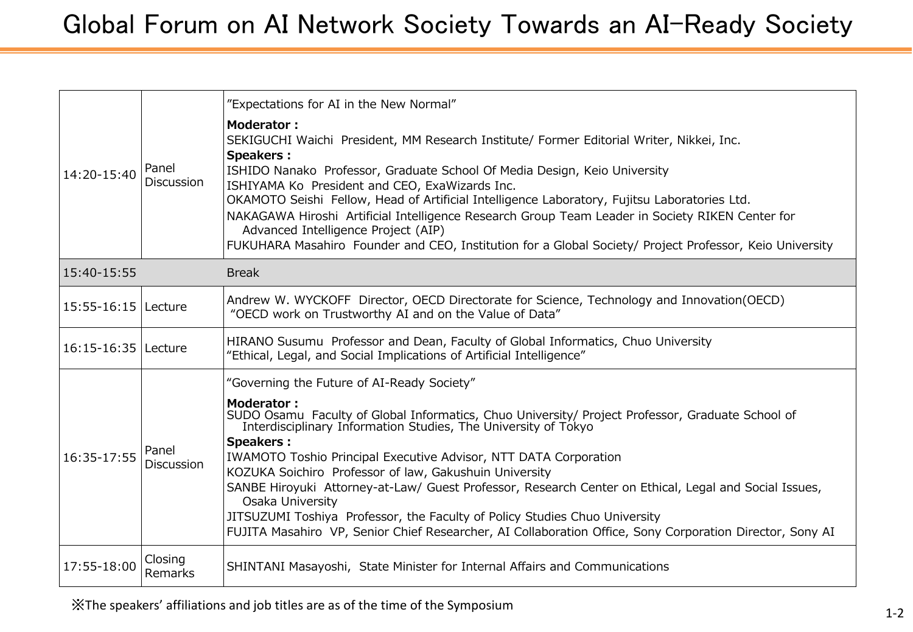| 14:20-15:40             | Panel<br><b>Discussion</b> | "Expectations for AI in the New Normal"<br><b>Moderator:</b><br>SEKIGUCHI Waichi President, MM Research Institute/ Former Editorial Writer, Nikkei, Inc.<br><b>Speakers:</b><br>ISHIDO Nanako Professor, Graduate School Of Media Design, Keio University<br>ISHIYAMA Ko President and CEO, ExaWizards Inc.<br>OKAMOTO Seishi Fellow, Head of Artificial Intelligence Laboratory, Fujitsu Laboratories Ltd.<br>NAKAGAWA Hiroshi Artificial Intelligence Research Group Team Leader in Society RIKEN Center for<br>Advanced Intelligence Project (AIP)<br>FUKUHARA Masahiro Founder and CEO, Institution for a Global Society/ Project Professor, Keio University                                               |
|-------------------------|----------------------------|----------------------------------------------------------------------------------------------------------------------------------------------------------------------------------------------------------------------------------------------------------------------------------------------------------------------------------------------------------------------------------------------------------------------------------------------------------------------------------------------------------------------------------------------------------------------------------------------------------------------------------------------------------------------------------------------------------------|
| 15:40-15:55             |                            | <b>Break</b>                                                                                                                                                                                                                                                                                                                                                                                                                                                                                                                                                                                                                                                                                                   |
| $15:55 - 16:15$ Lecture |                            | Andrew W. WYCKOFF Director, OECD Directorate for Science, Technology and Innovation(OECD)<br>"OECD work on Trustworthy AI and on the Value of Data"                                                                                                                                                                                                                                                                                                                                                                                                                                                                                                                                                            |
| 16:15-16:35   Lecture   |                            | HIRANO Susumu Professor and Dean, Faculty of Global Informatics, Chuo University<br>"Ethical, Legal, and Social Implications of Artificial Intelligence"                                                                                                                                                                                                                                                                                                                                                                                                                                                                                                                                                       |
| 16:35-17:55             | Panel<br>Discussion        | "Governing the Future of AI-Ready Society"<br>Moderator:<br>SUDO Osamu Faculty of Global Informatics, Chuo University/ Project Professor, Graduate School of<br>Interdisciplinary Information Studies, The University of Tokyo<br><b>Speakers:</b><br><b>IWAMOTO Toshio Principal Executive Advisor, NTT DATA Corporation</b><br>KOZUKA Soichiro Professor of law, Gakushuin University<br>SANBE Hiroyuki Attorney-at-Law/ Guest Professor, Research Center on Ethical, Legal and Social Issues,<br>Osaka University<br>JITSUZUMI Toshiya Professor, the Faculty of Policy Studies Chuo University<br>FUJITA Masahiro VP, Senior Chief Researcher, AI Collaboration Office, Sony Corporation Director, Sony AI |
| 17:55-18:00             | Closing<br>Remarks         | SHINTANI Masayoshi, State Minister for Internal Affairs and Communications                                                                                                                                                                                                                                                                                                                                                                                                                                                                                                                                                                                                                                     |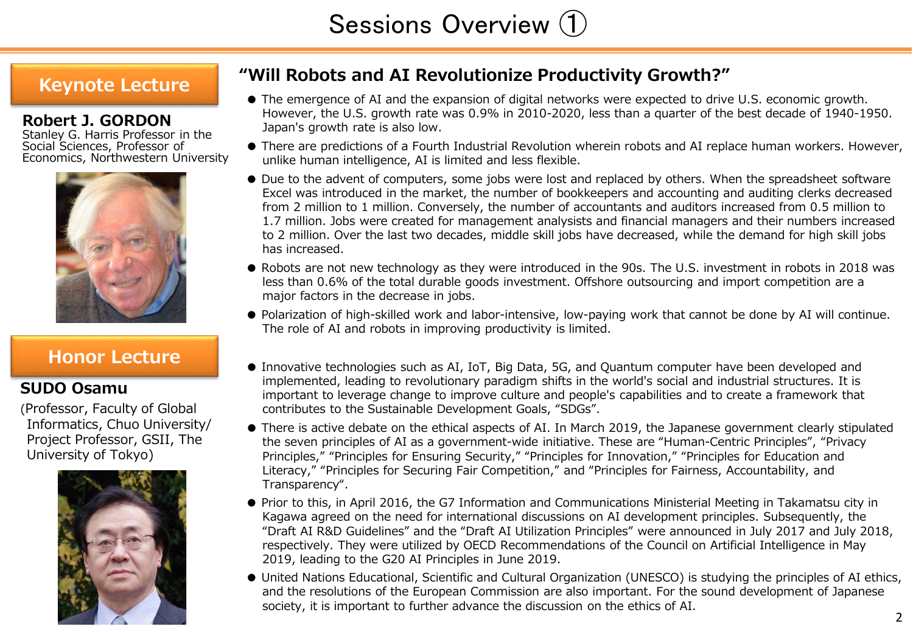# **Keynote Lecture**

## **Robert J. GORDON**

Stanley G. Harris Professor in the Social Sciences, Professor of Economics, Northwestern University



# **Honor Lecture**

## **SUDO Osamu**

(Professor, Faculty of Global Informatics, Chuo University/ Project Professor, GSII, The University of Tokyo)



# **"Will Robots and AI Revolutionize Productivity Growth?"**

- The emergence of AI and the expansion of digital networks were expected to drive U.S. economic growth. However, the U.S. growth rate was 0.9% in 2010-2020, less than a quarter of the best decade of 1940-1950. Japan's growth rate is also low.
- There are predictions of a Fourth Industrial Revolution wherein robots and AI replace human workers. However, unlike human intelligence, AI is limited and less flexible.
- Due to the advent of computers, some jobs were lost and replaced by others. When the spreadsheet software Excel was introduced in the market, the number of bookkeepers and accounting and auditing clerks decreased from 2 million to 1 million. Conversely, the number of accountants and auditors increased from 0.5 million to 1.7 million. Jobs were created for management analysists and financial managers and their numbers increased to 2 million. Over the last two decades, middle skill jobs have decreased, while the demand for high skill jobs has increased.
- Robots are not new technology as they were introduced in the 90s. The U.S. investment in robots in 2018 was less than 0.6% of the total durable goods investment. Offshore outsourcing and import competition are a major factors in the decrease in jobs.
- Polarization of high-skilled work and labor-intensive, low-paying work that cannot be done by AI will continue. The role of AI and robots in improving productivity is limited.
- Innovative technologies such as AI, IoT, Big Data, 5G, and Quantum computer have been developed and implemented, leading to revolutionary paradigm shifts in the world's social and industrial structures. It is important to leverage change to improve culture and people's capabilities and to create a framework that contributes to the Sustainable Development Goals, "SDGs".
- There is active debate on the ethical aspects of AI. In March 2019, the Japanese government clearly stipulated the seven principles of AI as a government-wide initiative. These are "Human-Centric Principles", "Privacy Principles," "Principles for Ensuring Security," "Principles for Innovation," "Principles for Education and Literacy," "Principles for Securing Fair Competition," and "Principles for Fairness, Accountability, and Transparency".
- Prior to this, in April 2016, the G7 Information and Communications Ministerial Meeting in Takamatsu city in Kagawa agreed on the need for international discussions on AI development principles. Subsequently, the "Draft AI R&D Guidelines" and the "Draft AI Utilization Principles" were announced in July 2017 and July 2018, respectively. They were utilized by OECD Recommendations of the Council on Artificial Intelligence in May 2019, leading to the G20 AI Principles in June 2019.
- United Nations Educational, Scientific and Cultural Organization (UNESCO) is studying the principles of AI ethics, and the resolutions of the European Commission are also important. For the sound development of Japanese society, it is important to further advance the discussion on the ethics of AI.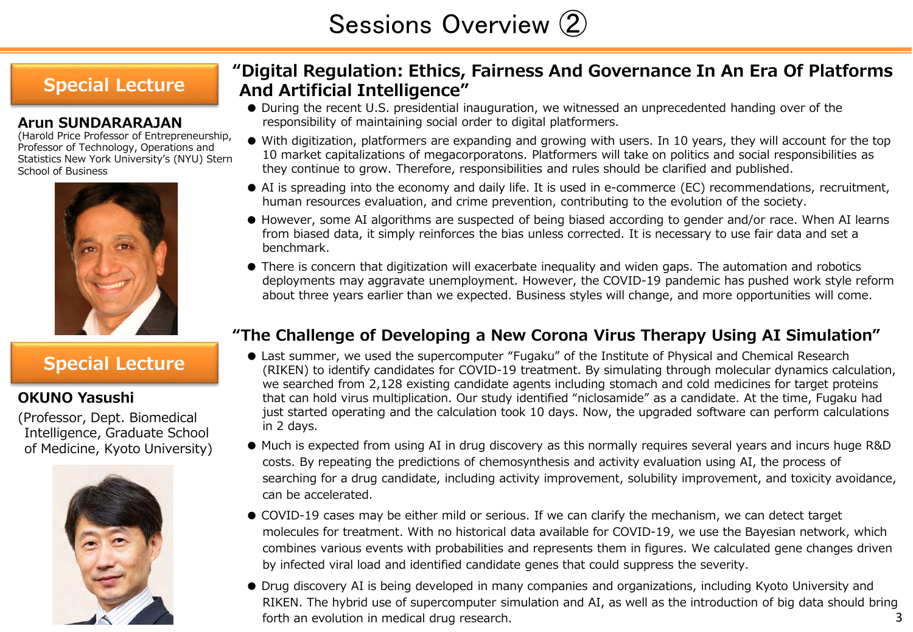# Sessions Overview ②

# **Special Lecture**

### **Arun SUNDARARAJAN**

(Harold Price Professor of Entrepreneurship, Professor of Technology, Operations and Statistics New York University's (NYU) Stern School of Business



## **OKUNO Yasushi**

(Professor, Dept. Biomedical Intelligence, Graduate School of Medicine, Kyoto University)



# **"Digital Regulation: Ethics, Fairness And Governance In An Era Of Platforms And Artificial Intelligence"**

- During the recent U.S. presidential inauguration, we witnessed an unprecedented handing over of the responsibility of maintaining social order to digital platformers.
- With digitization, platformers are expanding and growing with users. In 10 years, they will account for the top 10 market capitalizations of megacorporatons. Platformers will take on politics and social responsibilities as they continue to grow. Therefore, responsibilities and rules should be clarified and published.
- AI is spreading into the economy and daily life. It is used in e-commerce (EC) recommendations, recruitment, human resources evaluation, and crime prevention, contributing to the evolution of the society.
- However, some AI algorithms are suspected of being biased according to gender and/or race. When AI learns from biased data, it simply reinforces the bias unless corrected. It is necessary to use fair data and set a benchmark.
- There is concern that digitization will exacerbate inequality and widen gaps. The automation and robotics deployments may aggravate unemployment. However, the COVID-19 pandemic has pushed work style reform about three years earlier than we expected. Business styles will change, and more opportunities will come.

## **"The Challenge of Developing a New Corona Virus Therapy Using AI Simulation"**

- Special Lecture **Confident** Cast summer, we used the supercomputer "Fugaku" of the Institute of Physical and Chemical Research<br>(RIKEN) to identify candidates for COVID-19 treatment. By simulating through molecular dynamics we searched from 2,128 existing candidate agents including stomach and cold medicines for target proteins that can hold virus multiplication. Our study identified "niclosamide" as a candidate. At the time, Fugaku had just started operating and the calculation took 10 days. Now, the upgraded software can perform calculations in 2 days.
	- Much is expected from using AI in drug discovery as this normally requires several years and incurs huge R&D costs. By repeating the predictions of chemosynthesis and activity evaluation using AI, the process of searching for a drug candidate, including activity improvement, solubility improvement, and toxicity avoidance, can be accelerated.
	- COVID-19 cases may be either mild or serious. If we can clarify the mechanism, we can detect target molecules for treatment. With no historical data available for COVID-19, we use the Bayesian network, which combines various events with probabilities and represents them in figures. We calculated gene changes driven by infected viral load and identified candidate genes that could suppress the severity.
	- Drug discovery AI is being developed in many companies and organizations, including Kyoto University and RIKEN. The hybrid use of supercomputer simulation and AI, as well as the introduction of big data should bring forth an evolution in medical drug research.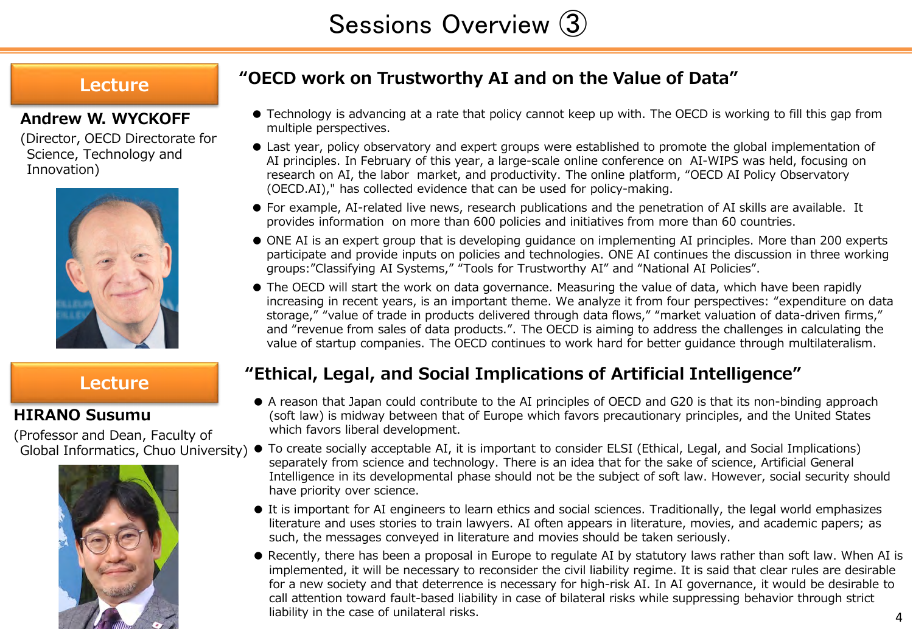# **Lecture**

## **Andrew W. WYCKOFF**

(Director, OECD Directorate for Science, Technology and Innovation)



# **Lecture**

## **HIRANO Susumu**

(Professor and Dean, Faculty of



# **"OECD work on Trustworthy AI and on the Value of Data"**

- Technology is advancing at a rate that policy cannot keep up with. The OECD is working to fill this gap from multiple perspectives.
- Last year, policy observatory and expert groups were established to promote the global implementation of AI principles. In February of this year, a large-scale online conference on AI-WIPS was held, focusing on research on AI, the labor market, and productivity. The online platform, "OECD AI Policy Observatory (OECD.AI)," has collected evidence that can be used for policy-making.
- For example, AI-related live news, research publications and the penetration of AI skills are available. It provides information on more than 600 policies and initiatives from more than 60 countries.
- ONE AI is an expert group that is developing guidance on implementing AI principles. More than 200 experts participate and provide inputs on policies and technologies. ONE AI continues the discussion in three working groups:"Classifying AI Systems," "Tools for Trustworthy AI" and "National AI Policies".
- The OECD will start the work on data governance. Measuring the value of data, which have been rapidly increasing in recent years, is an important theme. We analyze it from four perspectives: "expenditure on data storage," "value of trade in products delivered through data flows," "market valuation of data-driven firms," and "revenue from sales of data products.". The OECD is aiming to address the challenges in calculating the value of startup companies. The OECD continues to work hard for better guidance through multilateralism.

# **"Ethical, Legal, and Social Implications of Artificial Intelligence"**

- A reason that Japan could contribute to the AI principles of OECD and G20 is that its non-binding approach (soft law) is midway between that of Europe which favors precautionary principles, and the United States which favors liberal development.
- Global Informatics, Chuo University)  $\bullet$  To create socially acceptable AI, it is important to consider ELSI (Ethical, Legal, and Social Implications) separately from science and technology. There is an idea that for the sake of science, Artificial General Intelligence in its developmental phase should not be the subject of soft law. However, social security should have priority over science.
	- It is important for AI engineers to learn ethics and social sciences. Traditionally, the legal world emphasizes literature and uses stories to train lawyers. AI often appears in literature, movies, and academic papers; as such, the messages conveyed in literature and movies should be taken seriously.
	- 4 ● Recently, there has been a proposal in Europe to regulate AI by statutory laws rather than soft law. When AI is implemented, it will be necessary to reconsider the civil liability regime. It is said that clear rules are desirable for a new society and that deterrence is necessary for high-risk AI. In AI governance, it would be desirable to call attention toward fault-based liability in case of bilateral risks while suppressing behavior through strict liability in the case of unilateral risks.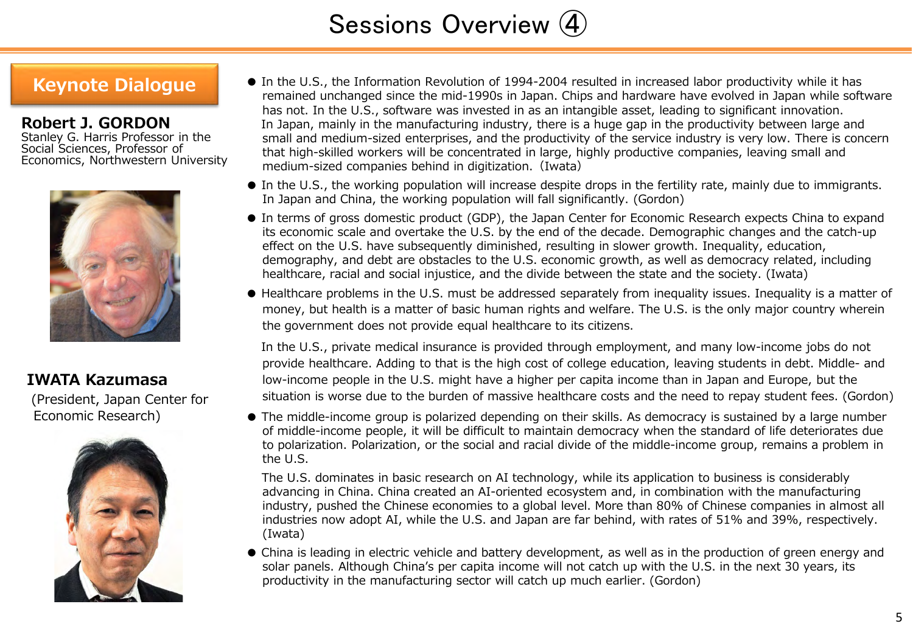# Sessions Overview ④

**Robert J. GORDON**

Stanley G. Harris Professor in the Social Sciences, Professor of Economics, Northwestern University



## **IWATA Kazumasa**

(President, Japan Center for Economic Research)



- Keynote Dialogue In the U.S., the Information Revolution of 1994-2004 resulted in increased labor productivity while it has remained unchanged since the mid-1990s in Japan. Chips and hardware have evolved in Japan while software has not. In the U.S., software was invested in as an intangible asset, leading to significant innovation. In Japan, mainly in the manufacturing industry, there is a huge gap in the productivity between large and small and medium-sized enterprises, and the productivity of the service industry is very low. There is concern that high-skilled workers will be concentrated in large, highly productive companies, leaving small and medium-sized companies behind in digitization. (Iwata)
	- In the U.S., the working population will increase despite drops in the fertility rate, mainly due to immigrants. In Japan and China, the working population will fall significantly. (Gordon)
	- In terms of gross domestic product (GDP), the Japan Center for Economic Research expects China to expand its economic scale and overtake the U.S. by the end of the decade. Demographic changes and the catch-up effect on the U.S. have subsequently diminished, resulting in slower growth. Inequality, education, demography, and debt are obstacles to the U.S. economic growth, as well as democracy related, including healthcare, racial and social injustice, and the divide between the state and the society. (Iwata)
	- Healthcare problems in the U.S. must be addressed separately from inequality issues. Inequality is a matter of money, but health is a matter of basic human rights and welfare. The U.S. is the only major country wherein the government does not provide equal healthcare to its citizens.

In the U.S., private medical insurance is provided through employment, and many low-income jobs do not provide healthcare. Adding to that is the high cost of college education, leaving students in debt. Middle- and low-income people in the U.S. might have a higher per capita income than in Japan and Europe, but the situation is worse due to the burden of massive healthcare costs and the need to repay student fees. (Gordon)

● The middle-income group is polarized depending on their skills. As democracy is sustained by a large number of middle-income people, it will be difficult to maintain democracy when the standard of life deteriorates due to polarization. Polarization, or the social and racial divide of the middle-income group, remains a problem in the U.S.

The U.S. dominates in basic research on AI technology, while its application to business is considerably advancing in China. China created an AI-oriented ecosystem and, in combination with the manufacturing industry, pushed the Chinese economies to a global level. More than 80% of Chinese companies in almost all industries now adopt AI, while the U.S. and Japan are far behind, with rates of 51% and 39%, respectively. (Iwata)

● China is leading in electric vehicle and battery development, as well as in the production of green energy and solar panels. Although China's per capita income will not catch up with the U.S. in the next 30 years, its productivity in the manufacturing sector will catch up much earlier. (Gordon)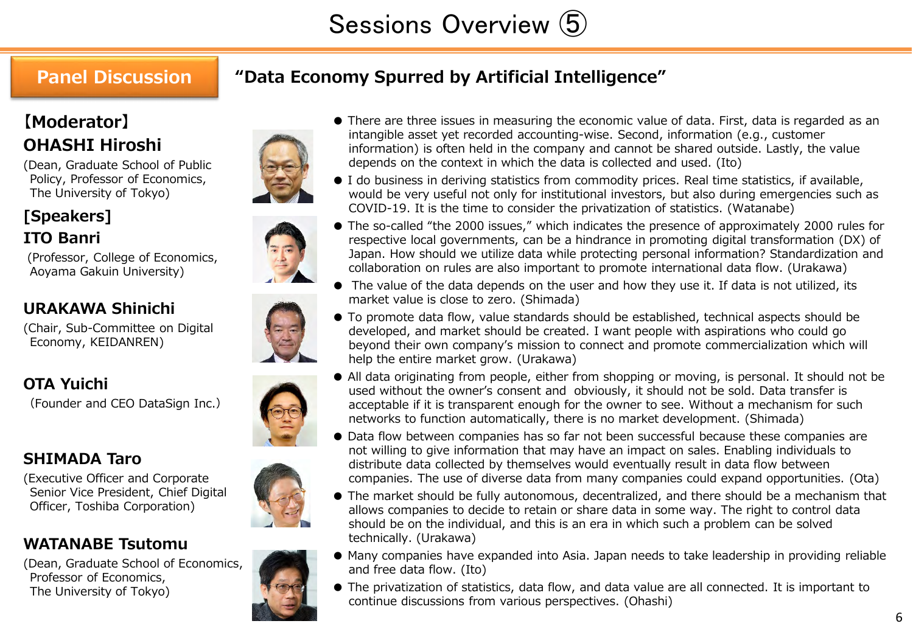# **Panel Discussion**

# **"Data Economy Spurred by Artificial Intelligence"**

# **【Moderator】 OHASHI Hiroshi**

(Dean, Graduate School of Public Policy, Professor of Economics, The University of Tokyo)



(Professor, College of Economics, Aoyama Gakuin University)

# **URAKAWA Shinichi**

(Chair, Sub-Committee on Digital Economy, KEIDANREN)

# **OTA Yuichi**

**[Speakers] ITO Banri**

(Founder and CEO DataSign Inc.)

# **SHIMADA Taro**

(Executive Officer and Corporate Senior Vice President, Chief Digital Officer, Toshiba Corporation)

# **WATANABE Tsutomu**

(Dean, Graduate School of Economics, Professor of Economics, The University of Tokyo)













● I do business in deriving statistics from commodity prices. Real time statistics, if available, would be very useful not only for institutional investors, but also during emergencies such as COVID-19. It is the time to consider the privatization of statistics. (Watanabe)

- The so-called "the 2000 issues," which indicates the presence of approximately 2000 rules for respective local governments, can be a hindrance in promoting digital transformation (DX) of Japan. How should we utilize data while protecting personal information? Standardization and collaboration on rules are also important to promote international data flow. (Urakawa)
- The value of the data depends on the user and how they use it. If data is not utilized, its market value is close to zero. (Shimada)
- To promote data flow, value standards should be established, technical aspects should be developed, and market should be created. I want people with aspirations who could go beyond their own company's mission to connect and promote commercialization which will help the entire market grow. (Urakawa)
- All data originating from people, either from shopping or moving, is personal. It should not be used without the owner's consent and obviously, it should not be sold. Data transfer is acceptable if it is transparent enough for the owner to see. Without a mechanism for such networks to function automatically, there is no market development. (Shimada)
- Data flow between companies has so far not been successful because these companies are not willing to give information that may have an impact on sales. Enabling individuals to distribute data collected by themselves would eventually result in data flow between companies. The use of diverse data from many companies could expand opportunities. (Ota)
- The market should be fully autonomous, decentralized, and there should be a mechanism that allows companies to decide to retain or share data in some way. The right to control data should be on the individual, and this is an era in which such a problem can be solved technically. (Urakawa)
- Many companies have expanded into Asia. Japan needs to take leadership in providing reliable and free data flow. (Ito)
- The privatization of statistics, data flow, and data value are all connected. It is important to continue discussions from various perspectives. (Ohashi)

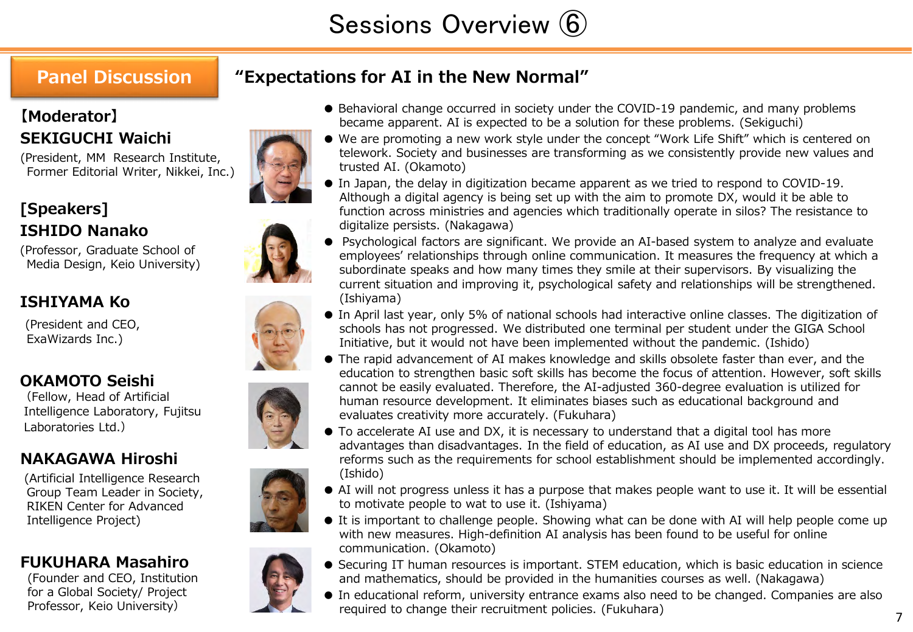# **Panel Discussion**

# **"Expectations for AI in the New Normal"**

# **【Moderator】 SEKIGUCHI Waichi**

(President, MM Research Institute, Former Editorial Writer, Nikkei, Inc.)

# **[Speakers] ISHIDO Nanako**

(Professor, Graduate School of Media Design, Keio University)

# **ISHIYAMA Ko**

(President and CEO, ExaWizards Inc.)

# **OKAMOTO Seishi**

(Fellow, Head of Artificial Intelligence Laboratory, Fujitsu Laboratories Ltd.)

# **NAKAGAWA Hiroshi**

(Artificial Intelligence Research Group Team Leader in Society, RIKEN Center for Advanced Intelligence Project)

# **FUKUHARA Masahiro**

(Founder and CEO, Institution for a Global Society/ Project Professor, Keio University)



- Behavioral change occurred in society under the COVID-19 pandemic, and many problems became apparent. AI is expected to be a solution for these problems. (Sekiguchi)
- We are promoting a new work style under the concept "Work Life Shift" which is centered on telework. Society and businesses are transforming as we consistently provide new values and trusted AI. (Okamoto)
- In Japan, the delay in digitization became apparent as we tried to respond to COVID-19. Although a digital agency is being set up with the aim to promote DX, would it be able to function across ministries and agencies which traditionally operate in silos? The resistance to digitalize persists. (Nakagawa)
- Psychological factors are significant. We provide an AI-based system to analyze and evaluate employees' relationships through online communication. It measures the frequency at which a subordinate speaks and how many times they smile at their supervisors. By visualizing the current situation and improving it, psychological safety and relationships will be strengthened. (Ishiyama)
- In April last year, only 5% of national schools had interactive online classes. The digitization of schools has not progressed. We distributed one terminal per student under the GIGA School Initiative, but it would not have been implemented without the pandemic. (Ishido)
- The rapid advancement of AI makes knowledge and skills obsolete faster than ever, and the education to strengthen basic soft skills has become the focus of attention. However, soft skills cannot be easily evaluated. Therefore, the AI-adjusted 360-degree evaluation is utilized for human resource development. It eliminates biases such as educational background and evaluates creativity more accurately. (Fukuhara)
- To accelerate AI use and DX, it is necessary to understand that a digital tool has more advantages than disadvantages. In the field of education, as AI use and DX proceeds, regulatory reforms such as the requirements for school establishment should be implemented accordingly. (Ishido)
- AI will not progress unless it has a purpose that makes people want to use it. It will be essential to motivate people to wat to use it. (Ishiyama)
- It is important to challenge people. Showing what can be done with AI will help people come up with new measures. High-definition AI analysis has been found to be useful for online communication. (Okamoto)
- Securing IT human resources is important. STEM education, which is basic education in science and mathematics, should be provided in the humanities courses as well. (Nakagawa)
- In educational reform, university entrance exams also need to be changed. Companies are also required to change their recruitment policies. (Fukuhara)







7